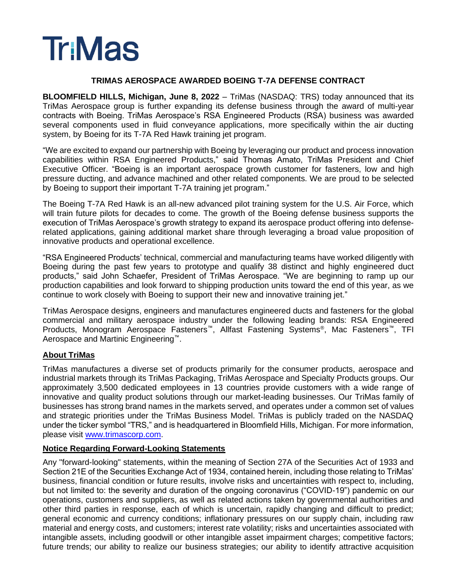# **Tr:Mas**

#### **TRIMAS AEROSPACE AWARDED BOEING T-7A DEFENSE CONTRACT**

**BLOOMFIELD HILLS, Michigan, June 8, 2022** – TriMas (NASDAQ: TRS) today announced that its TriMas Aerospace group is further expanding its defense business through the award of multi-year contracts with Boeing. TriMas Aerospace's RSA Engineered Products (RSA) business was awarded several components used in fluid conveyance applications, more specifically within the air ducting system, by Boeing for its T-7A Red Hawk training jet program.

"We are excited to expand our partnership with Boeing by leveraging our product and process innovation capabilities within RSA Engineered Products," said Thomas Amato, TriMas President and Chief Executive Officer. "Boeing is an important aerospace growth customer for fasteners, low and high pressure ducting, and advance machined and other related components. We are proud to be selected by Boeing to support their important T-7A training jet program."

The Boeing T-7A Red Hawk is an all-new advanced pilot training system for the U.S. Air Force, which will train future pilots for decades to come. The growth of the Boeing defense business supports the execution of TriMas Aerospace's growth strategy to expand its aerospace product offering into defenserelated applications, gaining additional market share through leveraging a broad value proposition of innovative products and operational excellence.

"RSA Engineered Products' technical, commercial and manufacturing teams have worked diligently with Boeing during the past few years to prototype and qualify 38 distinct and highly engineered duct products," said John Schaefer, President of TriMas Aerospace. "We are beginning to ramp up our production capabilities and look forward to shipping production units toward the end of this year, as we continue to work closely with Boeing to support their new and innovative training jet."

TriMas Aerospace designs, engineers and manufactures engineered ducts and fasteners for the global commercial and military aerospace industry under the following leading brands: RSA Engineered Products, Monogram Aerospace Fasteners<sup>™</sup>, Allfast Fastening Systems<sup>®</sup>, Mac Fasteners™, TFI Aerospace and Martinic Engineering™.

### **About TriMas**

TriMas manufactures a diverse set of products primarily for the consumer products, aerospace and industrial markets through its TriMas Packaging, TriMas Aerospace and Specialty Products groups. Our approximately 3,500 dedicated employees in 13 countries provide customers with a wide range of innovative and quality product solutions through our market-leading businesses. Our TriMas family of businesses has strong brand names in the markets served, and operates under a common set of values and strategic priorities under the TriMas Business Model. TriMas is publicly traded on the NASDAQ under the ticker symbol "TRS," and is headquartered in Bloomfield Hills, Michigan. For more information, please visit [www.trimascorp.com.](file:///C:/Users/kathrynlucchese/Desktop/www.trimascorp.com)

### **Notice Regarding Forward-Looking Statements**

Any "forward-looking" statements, within the meaning of Section 27A of the Securities Act of 1933 and Section 21E of the Securities Exchange Act of 1934, contained herein, including those relating to TriMas' business, financial condition or future results, involve risks and uncertainties with respect to, including, but not limited to: the severity and duration of the ongoing coronavirus ("COVID-19") pandemic on our operations, customers and suppliers, as well as related actions taken by governmental authorities and other third parties in response, each of which is uncertain, rapidly changing and difficult to predict; general economic and currency conditions; inflationary pressures on our supply chain, including raw material and energy costs, and customers; interest rate volatility; risks and uncertainties associated with intangible assets, including goodwill or other intangible asset impairment charges; competitive factors; future trends; our ability to realize our business strategies; our ability to identify attractive acquisition